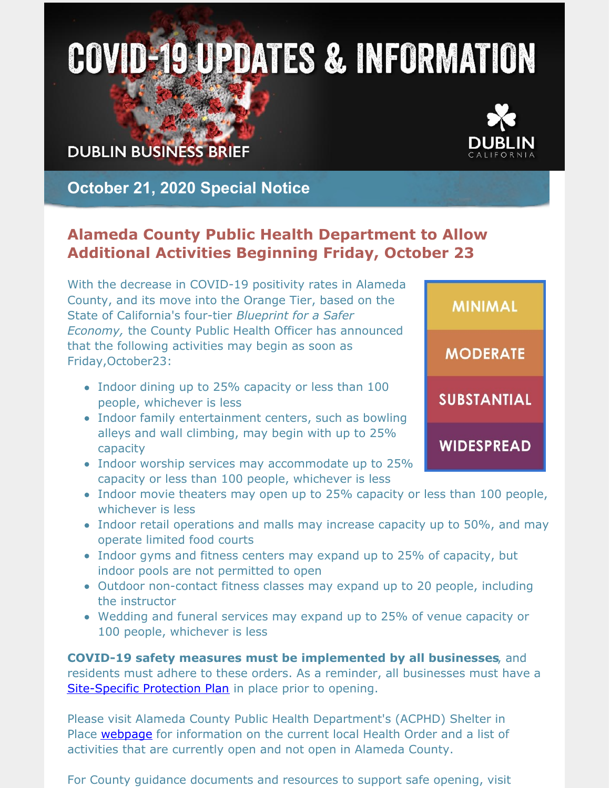# **COVID-19 UPDATES & INFORMATION**

## **DUBLIN BUSINESS BRIEF**



**MINIMAL** 

**MODERATE** 

**SUBSTANTIAL** 

**WIDESPREAD** 

### **October 21, 2020 Special Notice**

#### **Alameda County Public Health Department to Allow Additional Activities Beginning Friday, October 23**

With the decrease in COVID-19 positivity rates in Alameda County, and its move into the Orange Tier, based on the State of California's four-tier *Blueprint for a Safer Economy,* the County Public Health Officer has announced that the following activities may begin as soon as Friday,October23:

- Indoor dining up to 25% capacity or less than 100 people, whichever is less
- Indoor family entertainment centers, such as bowling alleys and wall climbing, may begin with up to 25% capacity
- Indoor worship services may accommodate up to 25% capacity or less than 100 people, whichever is less
- Indoor movie theaters may open up to 25% capacity or less than 100 people, whichever is less
- Indoor retail operations and malls may increase capacity up to 50%, and may operate limited food courts
- Indoor gyms and fitness centers may expand up to 25% of capacity, but indoor pools are not permitted to open
- Outdoor non-contact fitness classes may expand up to 20 people, including the instructor
- Wedding and funeral services may expand up to 25% of venue capacity or 100 people, whichever is less

**COVID-19 safety measures must be implemented by all businesses**, and residents must adhere to these orders. As a reminder, all businesses must have a [Site-Specific](https://covid-19.acgov.org/covid19-assets/docs/shelter-in-place/20-14c-appendix-a-protection-plan-guidance-and-template-eng.pdf) Protection Plan in place prior to opening.

Please visit Alameda County Public Health Department's (ACPHD) Shelter in Place [webpage](https://covid-19.acgov.org/sip.page) for information on the current local Health Order and a list of activities that are currently open and not open in Alameda County.

For County guidance documents and resources to support safe opening, visit